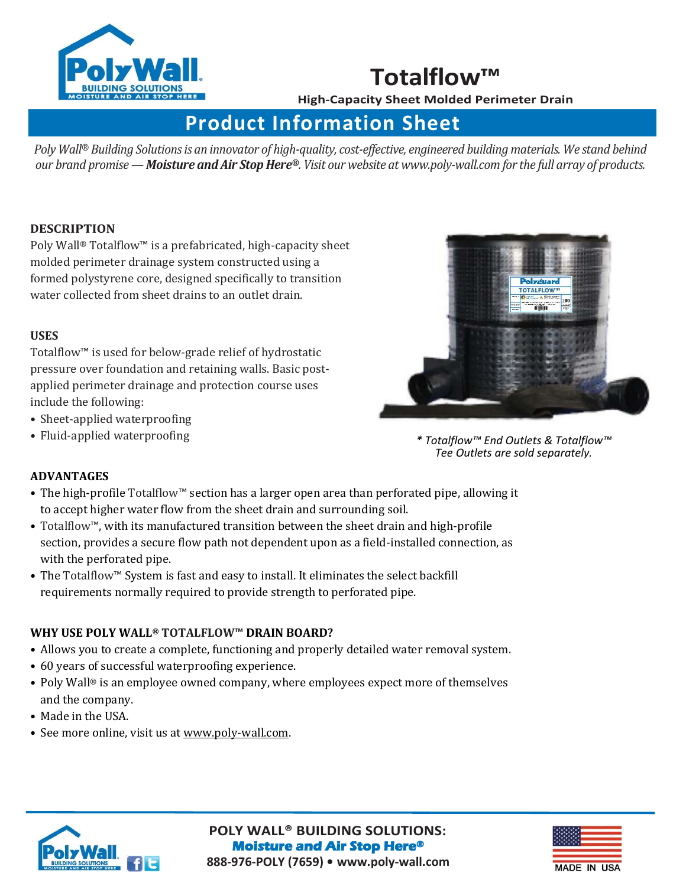

## **Totalflow™**

**High-Capacity Sheet Molded Perimeter Drain**

# **Product Information Sheet**

*Poly Wall® Building Solutions is an innovator of high-quality, cost-effective, engineered building materials. We stand behind our brand promise —Moisture and Air Stop Here®. Visit our website a[t www.poly-wall.com f](http://www.poly-wall.com/)or the full array of products.* 

#### **DESCRIPTION**

Poly Wall® Totalflow™ is a prefabricated, high-capacity sheet molded perimeter drainage system constructed using a formed polystyrene core, designed specifically to transition water collected from sheet drains to an outlet drain.

#### **USES**

Totalflow™ is used for below-grade relief of hydrostatic pressure over foundation and retaining walls. Basic postapplied perimeter drainage and protection course uses include the following:

- Sheet-applied waterproofing
- Fluid-applied waterproofing



*\* Totalflow™ End Outlets & Totalflow™ Tee Outlets are sold separately.* 

#### **ADVANTAGES**

- The high-profile Totalflow™ section has a larger open area than perforated pipe, allowing it to accept higher water flow from the sheet drain and surrounding soil.
- Totalflow™, with its manufactured transition between the sheet drain and high-profile section, provides a secure flow path not dependent upon as a field-installed connection, as with the perforated pipe.
- The Totalflow™ System is fast and easy to install. It eliminates the select backfill requirements normally required to provide strength to perforated pipe.

#### **WHY USE POLY WALL® TOTALFLOW™ DRAIN BOARD?**

- Allows you to create a complete, functioning and properly detailed water removal system.
- 60 years of successful waterproofing experience.
- Poly Wall® is an employee owned company, where employees expect more of themselves and the company.
- Made in the USA.
- See more online, visit us at [www.poly-wall.com.](http://www.poly-wall.com/)



**[POLY WALL® BUILDING SOLUTIONS:](http://www.poly-wall.com)  Moisture and Air Stop Here® 888-976-POLY (7659) • [www.poly-wall.com](http://www.poly-wall.com/)**